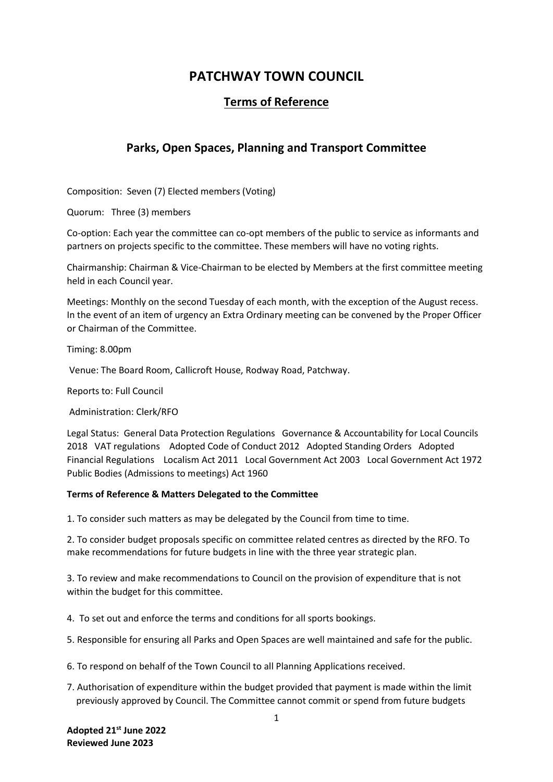# **PATCHWAY TOWN COUNCIL**

## **Terms of Reference**

### **Parks, Open Spaces, Planning and Transport Committee**

Composition: Seven (7) Elected members (Voting)

Quorum: Three (3) members

Co-option: Each year the committee can co-opt members of the public to service as informants and partners on projects specific to the committee. These members will have no voting rights.

Chairmanship: Chairman & Vice-Chairman to be elected by Members at the first committee meeting held in each Council year.

Meetings: Monthly on the second Tuesday of each month, with the exception of the August recess. In the event of an item of urgency an Extra Ordinary meeting can be convened by the Proper Officer or Chairman of the Committee.

Timing: 8.00pm

Venue: The Board Room, Callicroft House, Rodway Road, Patchway.

Reports to: Full Council

Administration: Clerk/RFO

Legal Status: General Data Protection Regulations Governance & Accountability for Local Councils 2018 VAT regulations Adopted Code of Conduct 2012 Adopted Standing Orders Adopted Financial Regulations Localism Act 2011 Local Government Act 2003 Local Government Act 1972 Public Bodies (Admissions to meetings) Act 1960

#### **Terms of Reference & Matters Delegated to the Committee**

1. To consider such matters as may be delegated by the Council from time to time.

2. To consider budget proposals specific on committee related centres as directed by the RFO. To make recommendations for future budgets in line with the three year strategic plan.

3. To review and make recommendations to Council on the provision of expenditure that is not within the budget for this committee.

- 4. To set out and enforce the terms and conditions for all sports bookings.
- 5. Responsible for ensuring all Parks and Open Spaces are well maintained and safe for the public.
- 6. To respond on behalf of the Town Council to all Planning Applications received.
- 7. Authorisation of expenditure within the budget provided that payment is made within the limit previously approved by Council. The Committee cannot commit or spend from future budgets